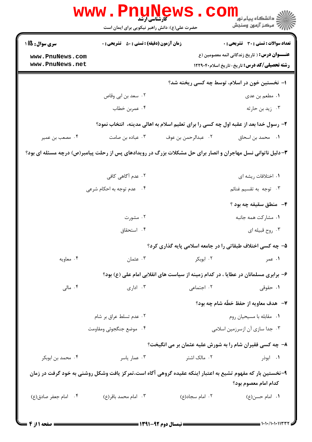|                                                               | www.Pnu<br><b>کارشناسی ارشد</b><br>حضرت علی(ع): دانش راهبر نیکویی برای ایمان است                             |                     | ڪ دانشڪاه پيا <sub>م</sub> نور<br>۾ سرڪز آزمون وسنجش                                                                                                |  |  |
|---------------------------------------------------------------|--------------------------------------------------------------------------------------------------------------|---------------------|-----------------------------------------------------------------------------------------------------------------------------------------------------|--|--|
| <b>سری سوال : 1أ5</b> 1<br>www.PnuNews.com<br>www.PnuNews.net | <b>زمان آزمون (دقیقه) : تستی : 50 ٪ تشریحی : 0</b>                                                           |                     | تعداد سوالات : تستى : 30 - تشريحي : 0<br><b>عنـــوان درس:</b> ( تاریخ زندگانی ائمه معصومین (ع<br><b>رشته تحصیلی/کد درس:</b> تاریخ-تاریخ اسلام۲۲۹۰۴۰ |  |  |
|                                                               | ۱– نخستین خون در اسلام، توسط چه کسی ریخته شد؟                                                                |                     |                                                                                                                                                     |  |  |
|                                                               | ۰۲ سعد بن ابي وقاص                                                                                           |                     | ١. مطعم بن عدي                                                                                                                                      |  |  |
|                                                               | ۰۴ عمربن خطاب                                                                                                |                     | ۰۳ زید بن حارثه                                                                                                                                     |  |  |
|                                                               | ۲- رسول خدا بعد از عقبه اول چه کسی را برای تعلیم اسلام به اهالی مدینه،  انتخاب نمود؟                         |                     |                                                                                                                                                     |  |  |
| ۰۴ مصعب بن عمير                                               | ۰۳ عباده بن صامت                                                                                             | ٠٢ عبدالرحمن بن عوف | <b>۱.</b> محمد بن اسحاق                                                                                                                             |  |  |
|                                                               | ۳- دلیل ناتوانی نسل مهاجران و انصار برای حل مشکلات بزرگ در رویدادهای پس از رحلت پیامبر(ص) درچه مسئله ای بود؟ |                     |                                                                                                                                                     |  |  |
|                                                               | ۰۲ عدم آگاهی کافی                                                                                            |                     | ۰۱ اختلافات ریشه ای                                                                                                                                 |  |  |
|                                                               | ۰۴ مدم توجه به احکام شرعی                                                                                    |                     | ۰۳ توجه به تقسیم غنائم                                                                                                                              |  |  |
|                                                               |                                                                                                              |                     | ۴- منطق سقیفه چه بود ؟                                                                                                                              |  |  |
|                                                               | ۰۲ مشورت                                                                                                     |                     | ٠١ مشاركت همه جانبه                                                                                                                                 |  |  |
|                                                               | ۰۴ استحقاق                                                                                                   |                     | ۰۳ روح قبیله ای                                                                                                                                     |  |  |
|                                                               |                                                                                                              |                     | ۵– چه کسی اختلاف طبقاتی را در جامعه اسلامی پایه گذاری کرد؟                                                                                          |  |  |
| ۰۴ معاويه                                                     | ۰۳ عثمان                                                                                                     | ۰۲ ابوبکر           | ۱. عمر                                                                                                                                              |  |  |
|                                                               |                                                                                                              |                     | ۶- برابری مسلمانان در عطایا ، در کدام زمینه از سیاست های انقلابی امام علی (ع) بود؟                                                                  |  |  |
| ۰۴ مالی $\cdot$                                               | ۰۳ اداری                                                                                                     | ۰۲ اجتماعی          | ۰۱ حقوقی                                                                                                                                            |  |  |
|                                                               |                                                                                                              |                     | ٧-۔ هدف معاویه از حفظ خطّه شام چه بود؟                                                                                                              |  |  |
|                                                               | ۰۲ عدم تسلط عراق بر شام                                                                                      |                     | ٠١ مقابله با مسيحيان روم                                                                                                                            |  |  |
|                                                               | ۰۴ موضع جنگجوئی ومقاومت                                                                                      |                     | ۰۳ جدا سازی آن ازسرزمین اسلامی                                                                                                                      |  |  |
|                                                               |                                                                                                              |                     | ۸- چه کسی فقیران شام را به شورش علیه عثمان بر می انگیخت؟                                                                                            |  |  |
| ۰۴ محمد بن ابوبکر                                             | ۰۳ عمار یاسر                                                                                                 | ۰۲ مالک اشتر        | ۰۱ ابوذر                                                                                                                                            |  |  |
|                                                               | ۹–نخستین بار که مفهوم تشیع به اعتبار اینکه عقیده گروهی آگاه است،تمرکز یافت وشکل روشنی به خود گرفت در زمان    |                     | كدام امام معصوم بود؟                                                                                                                                |  |  |
| ۰۴ امام جعفر صادق(ع)                                          | ۰۳ امام محمد باقر(ع)                                                                                         | ۰۲ امام سجاد(ع)     | ۰۱ امام حسن(ع)                                                                                                                                      |  |  |
|                                                               |                                                                                                              |                     |                                                                                                                                                     |  |  |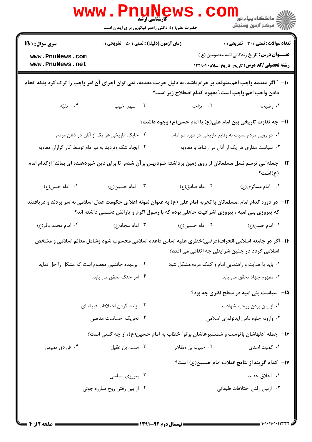|                                                                               | <b>WWW.FNUNGW</b><br><b>کارشناسی ارشد</b><br>حضرت علی(ع): دانش راهبر نیکویی برای ایمان است |                                                                                                                                                                                                                 | رانشگاه پیام نور<br>الله عرکز آزمون وسنجش                                                                   |
|-------------------------------------------------------------------------------|--------------------------------------------------------------------------------------------|-----------------------------------------------------------------------------------------------------------------------------------------------------------------------------------------------------------------|-------------------------------------------------------------------------------------------------------------|
| <b>زمان آزمون (دقیقه) : تستی : 50 ٪ تشریحی : 0</b><br><b>سری سوال : 1 6 ا</b> |                                                                                            |                                                                                                                                                                                                                 | <b>تعداد سوالات : تستی : 30 ٪ تشریحی : 0</b>                                                                |
| www.PnuNews.com<br>www.PnuNews.net                                            |                                                                                            |                                                                                                                                                                                                                 | <b>عنـــوان درس:</b> تاریخ زندگانی ائمه معصومین (ع )<br><b>رشته تحصیلی/کد درس:</b> تاریخ-تاریخ اسلام۱۲۲۹۰۴۰ |
|                                                                               |                                                                                            | ∙ا− ″ اگر مقدمه واجب اهم،متوقف بر حرام باشد، به دلیل حرمت مقدمه، نمی توان اجرای آن امر واجب را ترک کرد بلکه انجام<br>دادن واجب اهم،واجب است، ٌمفهوم كدام اصطلاح زير است؟                                        |                                                                                                             |
| ۴. تقیّه                                                                      | ۰۳ سهم اخيب                                                                                | ۲. تزاحم                                                                                                                                                                                                        | ۰۱ رضیحه                                                                                                    |
|                                                                               |                                                                                            | ١١−  چه تفاوت تاريخي بين امام علي(ع) با امام حسن(ع) وجود داشت؟                                                                                                                                                  |                                                                                                             |
|                                                                               | ۰۲ جایگاه تاریخی هر یک از آنان در ذهن مردم                                                 | ۰۱ دو رویی مردم نسبت به وقایع تاریخی در دوره دو امام                                                                                                                                                            |                                                                                                             |
| ۰۴ ایجاد شک وتردید به دو امام توسط کار گزاران معاویه                          |                                                                                            |                                                                                                                                                                                                                 | ۰۳ سیاست مداری هر یک از آنان در ارتباط با معاویه                                                            |
|                                                                               |                                                                                            | ۱۲– جمله ّمی ترسم نسل مسلمانان از روی زمین برداشته شود،پس بر آن شدم تا برای دین خبردهنده ای بماند ّ ازکدام امام                                                                                                 | (ع)است؟                                                                                                     |
| ۰۴ امام حسن(ع)                                                                | ۰۳ امام حسین(ع)                                                                            | ۰۲ امام صادق(ع)                                                                                                                                                                                                 | ۰۱ امام عسگری(ع)                                                                                            |
|                                                                               |                                                                                            | ۱۳– در دوره کدام امام ،مسلمانان با تجربه امام علی (ع) به عنوان نمونه اعلا ی حکومت عدل اسلامی به سر بردند و دریافتند<br>که پیروزی بنی امیه ، پیروزی اشرافیت جاهلی بوده که با رسول اکرم و یارانش دشمنی داشته اند؟ |                                                                                                             |
| ۰۴ امام محمد باقر(ع)                                                          | ۰۳ امام سجاد(ع)                                                                            | ۰۲ امام حسین(ع)                                                                                                                                                                                                 | ٠١. امام حسن(ع)                                                                                             |
|                                                                               |                                                                                            | ۱۴– اگر در جامعه اسلامی،انحراف(فرضی)خطری علیه اساس قاعده اسلامی محسوب شود وشامل معالم اسلامی و مشخص<br>اسلامی گردد در چنین شرایطی چه اتفاقی می افتد؟                                                            |                                                                                                             |
| ۰۲ برعهده جانشین معصوم است که مشکل را حل نماید.                               |                                                                                            | ٠١ بايد با هدايت و راهنمايي امام و كمك مردم،مشكل شود.                                                                                                                                                           |                                                                                                             |
|                                                                               | ۰۴ امر جنگ تحقق می یابد.                                                                   |                                                                                                                                                                                                                 | ۰۳ مفهوم جهاد تحقق می یابد.                                                                                 |
|                                                                               |                                                                                            |                                                                                                                                                                                                                 | ۱۵–۔سیاست بنی امیه در سطح نظری چه بود؟                                                                      |
|                                                                               | ۰۲ زنده کردن اختلافات قبیله ای                                                             |                                                                                                                                                                                                                 | ٠١ از يبن بردن روحيه شهادت                                                                                  |
|                                                                               | ۰۴ تحریک احساسات مذهبی                                                                     |                                                                                                                                                                                                                 | ۰۳ وارونه جلوه دادن ايدئولوژي اسلامي                                                                        |
|                                                                               |                                                                                            | ۱۶– جمله "دلهاشان باتوست و شمشیرهاشان برتو" خطاب به امام حسین(ع)، از چه کسی است؟                                                                                                                                |                                                                                                             |
| ۰۴ فرزدق تمیمی                                                                | ۰۳ مسلم بن عقيل                                                                            | ۰۲ حبيب بن مظاهر                                                                                                                                                                                                | ٠١ كميت اسدى                                                                                                |
|                                                                               |                                                                                            |                                                                                                                                                                                                                 | ۱۷−   کدام گزینه از نتایج انقلاب امام حسین(ع) است؟                                                          |
|                                                                               | ۰۲ پیروزی سیاسی                                                                            |                                                                                                                                                                                                                 | ۰۱ اخلاق جدید                                                                                               |
|                                                                               | ۰۴ از بین رفتن روح مبارزه جوئی                                                             |                                                                                                                                                                                                                 | ٠٣ ازبين رفتن اختلافات طبقاتي                                                                               |
|                                                                               |                                                                                            |                                                                                                                                                                                                                 |                                                                                                             |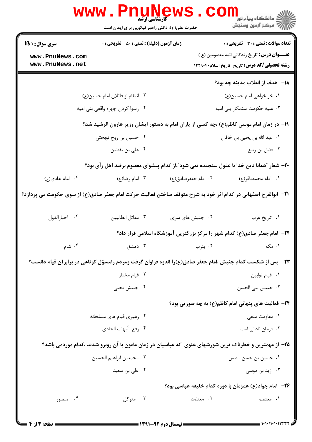|                                    | <b>www.Pnune</b><br><b>کارشناسی ارشد</b><br>حضرت علی(ع): دانش راهبر نیکویی برای ایمان است                              |                     | ر دانشڪاه پيام نور <mark>−</mark><br>ا∛ مرکز آزمون وسنڊش                                                   |
|------------------------------------|------------------------------------------------------------------------------------------------------------------------|---------------------|------------------------------------------------------------------------------------------------------------|
| سری سوال : ۱ S)                    | <b>زمان آزمون (دقیقه) : تستی : 50 ٪ تشریحی : 0</b>                                                                     |                     | تعداد سوالات : تستي : 30 ٪ تشريحي : 0                                                                      |
| www.PnuNews.com<br>www.PnuNews.net |                                                                                                                        |                     | <b>عنـــوان درس:</b> تاریخ زندگانی ائمه معصومین (ع )<br><b>رشته تحصیلی/کد درس:</b> تاریخ-تاریخ اسلام۲۲۹۰۴۰ |
|                                    |                                                                                                                        |                     | 1۸– هدف از انقلاب مدينه چه بود؟                                                                            |
|                                    | ۰۲ انتقام از قاتلان امام حسین(ع)                                                                                       |                     | ۰۱ خونخواهي امام حسين(ع)                                                                                   |
|                                    | ۰۴ رسوا کردن چهره واقعی بنی امیه                                                                                       |                     | ۰۳ علیه حکومت ستمکار بنی امیه                                                                              |
|                                    | ۱۹- در زمان امام موسی کاظم(ع) ،چه کسی از یاران امام به دستور ایشان وزیر هارون الرشید شد؟                               |                     |                                                                                                            |
|                                    | ۰۲ حسین بن روح نوبختی                                                                                                  |                     | ٠١. عبد الله بن يحيى بن خاقان                                                                              |
|                                    | ۰۴ علی بن یقطین                                                                                                        |                     | ۰۳ فضل بن ربيع                                                                                             |
|                                    | +۲- شعار ″همانا دین خدا با عقول سنجیده نمی شود″،از کدام پیشوای معصوم برضد اهل رأی بود؟                                 |                     |                                                                                                            |
| ۰۴ امام هادی(ع)                    | ۰۳ امام رضا(ع)                                                                                                         | ۰۲ امام جعفرصادق(ع) | ۰۱ امام محمدباقر(ع)                                                                                        |
|                                    | <b>۲۱</b> -  ابوالفرج اصفهانی در کدام اثر خود به شرح متوقف ساختن فعالیت حرکت امام جعفر صادق(ع) از سوی حکومت می پردازد؟ |                     |                                                                                                            |
| ۰۴ اخبارالدول                      | ٠٣ مقاتل الطالبين                                                                                                      | ٢. جنبش های سرّی    | ٠١ تاريخ عرب                                                                                               |
|                                    |                                                                                                                        |                     | ۲۲- امام جعفر صادق(ع) کدام شهر را مرکز بزرگترین آموزشگاه اسلامی قرار داد؟                                  |
| ۰۴ شام                             | ۰۳ دمشق                                                                                                                | ۰۲ يثرب             | ۰۱ مکه                                                                                                     |
|                                    | ۲۳–٪ پس از شکست کدام جنبش ،امام جعفر صادق(ع)را اندوه فراوان گرفت ومردم رامسؤل کوتاهی در برابرآن قیام دانست؟            |                     |                                                                                                            |
|                                    | ۰۲ قیام مختار                                                                                                          |                     | ٠١ قيام توابين                                                                                             |
|                                    | ۰۴ جنبش يحيى                                                                                                           |                     | ۰۳ جنبش بنی الحسن                                                                                          |
|                                    |                                                                                                                        |                     | ۲۴– فعالیت های پنهانی امام کاظم(ع) به چه صورتی بود؟                                                        |
|                                    | ۰۲ رهبری قیام های مسلحانه                                                                                              |                     | ۰۱ مقاومت منفی                                                                                             |
|                                    | ۰۴ رفع شُبهات الحادي                                                                                                   |                     | ۰۳ درمان نادانی امت                                                                                        |
|                                    | ۲۵– از مهمترین و خطرناک ترین شورشهای علوی که عباسیان در زمان مامون با آن روبرو شدند ،کدام موردمی باشد؟                 |                     |                                                                                                            |
|                                    | ٠٢ محمدبن ابراهيم الحسين                                                                                               |                     | ٠١. حسين بن حسن افطس                                                                                       |
|                                    | ۰۴ علی بن سعید                                                                                                         |                     | ۰۳ زید بن موسی                                                                                             |
|                                    |                                                                                                                        |                     | ۲۶– امام جواد(ع) همزمان با دوره کدام خلیفه عباسی بود؟                                                      |
| ۰۴ منصور                           | ۰۳ متوکل                                                                                                               | ۰۲ معتضد            | ۱. معتصم                                                                                                   |
|                                    |                                                                                                                        |                     |                                                                                                            |